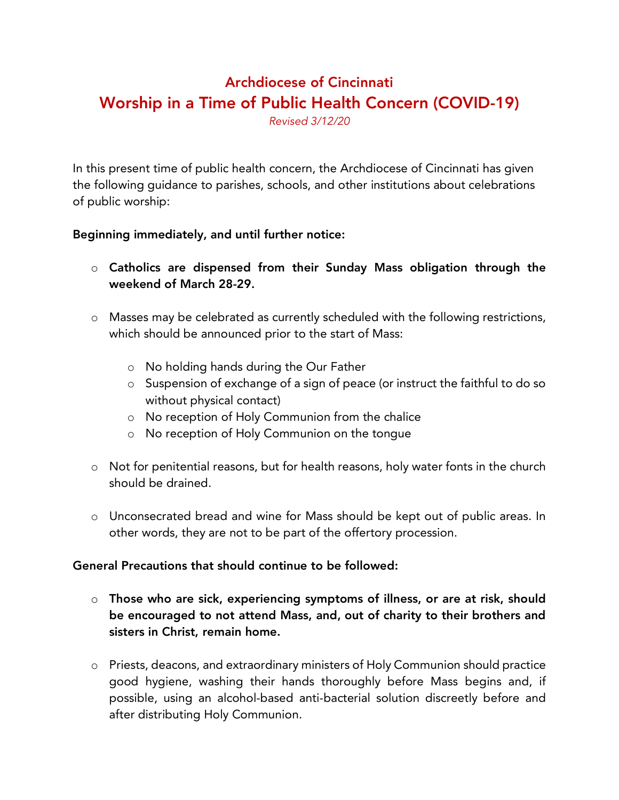## Archdiocese of Cincinnati Worship in a Time of Public Health Concern (COVID-19)

*Revised 3/12/20*

In this present time of public health concern, the Archdiocese of Cincinnati has given the following guidance to parishes, schools, and other institutions about celebrations of public worship:

## Beginning immediately, and until further notice:

- o Catholics are dispensed from their Sunday Mass obligation through the weekend of March 28-29.
- o Masses may be celebrated as currently scheduled with the following restrictions, which should be announced prior to the start of Mass:
	- o No holding hands during the Our Father
	- o Suspension of exchange of a sign of peace (or instruct the faithful to do so without physical contact)
	- o No reception of Holy Communion from the chalice
	- o No reception of Holy Communion on the tongue
- o Not for penitential reasons, but for health reasons, holy water fonts in the church should be drained.
- o Unconsecrated bread and wine for Mass should be kept out of public areas. In other words, they are not to be part of the offertory procession.

## General Precautions that should continue to be followed:

- o Those who are sick, experiencing symptoms of illness, or are at risk, should be encouraged to not attend Mass, and, out of charity to their brothers and sisters in Christ, remain home.
- o Priests, deacons, and extraordinary ministers of Holy Communion should practice good hygiene, washing their hands thoroughly before Mass begins and, if possible, using an alcohol-based anti-bacterial solution discreetly before and after distributing Holy Communion.